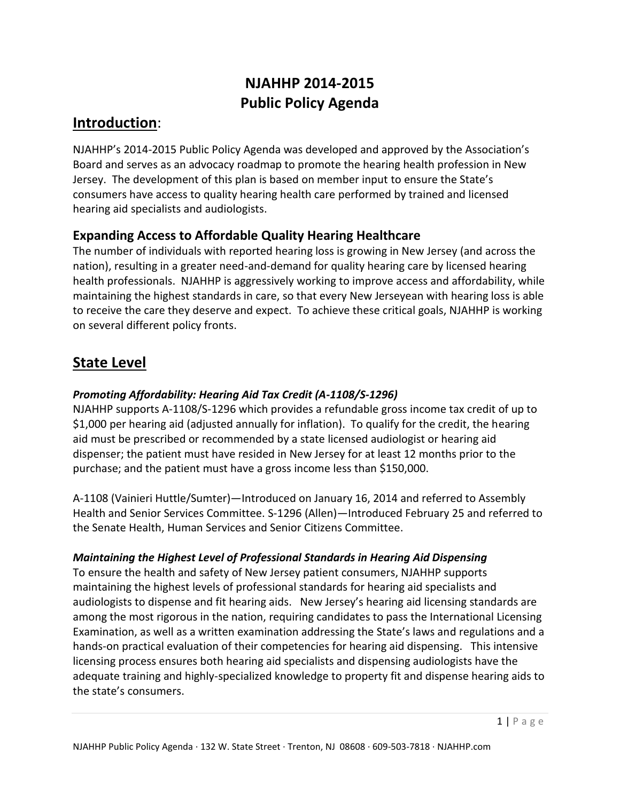# **NJAHHP 2014-2015 Public Policy Agenda**

### **Introduction**:

NJAHHP's 2014-2015 Public Policy Agenda was developed and approved by the Association's Board and serves as an advocacy roadmap to promote the hearing health profession in New Jersey. The development of this plan is based on member input to ensure the State's consumers have access to quality hearing health care performed by trained and licensed hearing aid specialists and audiologists.

### **Expanding Access to Affordable Quality Hearing Healthcare**

The number of individuals with reported hearing loss is growing in New Jersey (and across the nation), resulting in a greater need-and-demand for quality hearing care by licensed hearing health professionals. NJAHHP is aggressively working to improve access and affordability, while maintaining the highest standards in care, so that every New Jerseyean with hearing loss is able to receive the care they deserve and expect. To achieve these critical goals, NJAHHP is working on several different policy fronts.

## **State Level**

### *Promoting Affordability: Hearing Aid Tax Credit (A-1108/S-1296)*

NJAHHP supports A-1108/S-1296 which provides a refundable gross income tax credit of up to \$1,000 per hearing aid (adjusted annually for inflation). To qualify for the credit, the hearing aid must be prescribed or recommended by a state licensed audiologist or hearing aid dispenser; the patient must have resided in New Jersey for at least 12 months prior to the purchase; and the patient must have a gross income less than \$150,000.

A-1108 (Vainieri Huttle/Sumter)—Introduced on January 16, 2014 and referred to Assembly Health and Senior Services Committee. S-1296 (Allen)—Introduced February 25 and referred to the Senate Health, Human Services and Senior Citizens Committee.

#### *Maintaining the Highest Level of Professional Standards in Hearing Aid Dispensing*

To ensure the health and safety of New Jersey patient consumers, NJAHHP supports maintaining the highest levels of professional standards for hearing aid specialists and audiologists to dispense and fit hearing aids. New Jersey's hearing aid licensing standards are among the most rigorous in the nation, requiring candidates to pass the International Licensing Examination, as well as a written examination addressing the State's laws and regulations and a hands-on practical evaluation of their competencies for hearing aid dispensing. This intensive licensing process ensures both hearing aid specialists and dispensing audiologists have the adequate training and highly-specialized knowledge to property fit and dispense hearing aids to the state's consumers.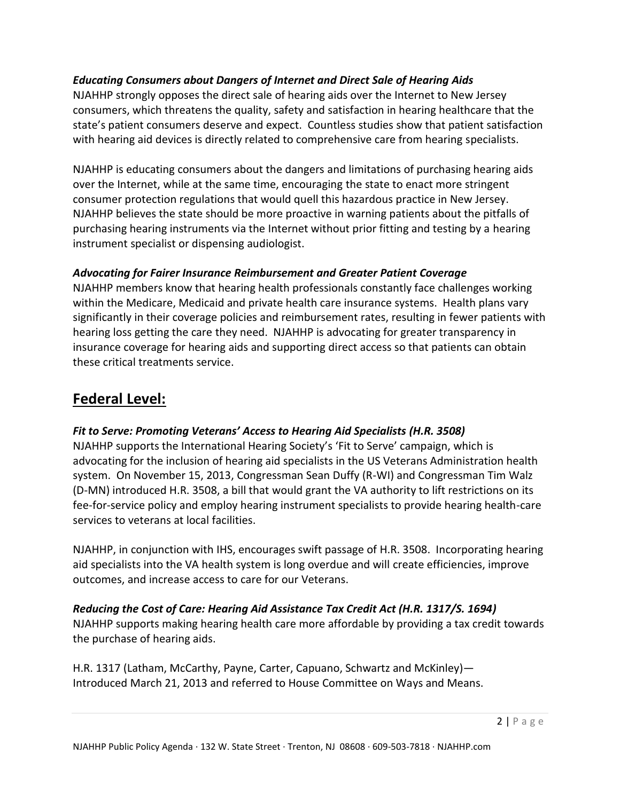#### *Educating Consumers about Dangers of Internet and Direct Sale of Hearing Aids*

NJAHHP strongly opposes the direct sale of hearing aids over the Internet to New Jersey consumers, which threatens the quality, safety and satisfaction in hearing healthcare that the state's patient consumers deserve and expect. Countless studies show that patient satisfaction with hearing aid devices is directly related to comprehensive care from hearing specialists.

NJAHHP is educating consumers about the dangers and limitations of purchasing hearing aids over the Internet, while at the same time, encouraging the state to enact more stringent consumer protection regulations that would quell this hazardous practice in New Jersey. NJAHHP believes the state should be more proactive in warning patients about the pitfalls of purchasing hearing instruments via the Internet without prior fitting and testing by a hearing instrument specialist or dispensing audiologist.

#### *Advocating for Fairer Insurance Reimbursement and Greater Patient Coverage*

NJAHHP members know that hearing health professionals constantly face challenges working within the Medicare, Medicaid and private health care insurance systems. Health plans vary significantly in their coverage policies and reimbursement rates, resulting in fewer patients with hearing loss getting the care they need. NJAHHP is advocating for greater transparency in insurance coverage for hearing aids and supporting direct access so that patients can obtain these critical treatments service.

### **Federal Level:**

#### *Fit to Serve: Promoting Veterans' Access to Hearing Aid Specialists (H.R. 3508)*

NJAHHP supports the International Hearing Society's 'Fit to Serve' campaign, which is advocating for the inclusion of hearing aid specialists in the US Veterans Administration health system. On November 15, 2013, Congressman Sean Duffy (R-WI) and Congressman Tim Walz (D-MN) introduced H.R. 3508, a bill that would grant the VA authority to lift restrictions on its fee-for-service policy and employ hearing instrument specialists to provide hearing health-care services to veterans at local facilities.

NJAHHP, in conjunction with IHS, encourages swift passage of H.R. 3508. Incorporating hearing aid specialists into the VA health system is long overdue and will create efficiencies, improve outcomes, and increase access to care for our Veterans.

#### *Reducing the Cost of Care: Hearing Aid Assistance Tax Credit Act (H.R. 1317/S. 1694)*

NJAHHP supports making hearing health care more affordable by providing a tax credit towards the purchase of hearing aids.

H.R. 1317 (Latham, McCarthy, Payne, Carter, Capuano, Schwartz and McKinley)— Introduced March 21, 2013 and referred to House Committee on Ways and Means.